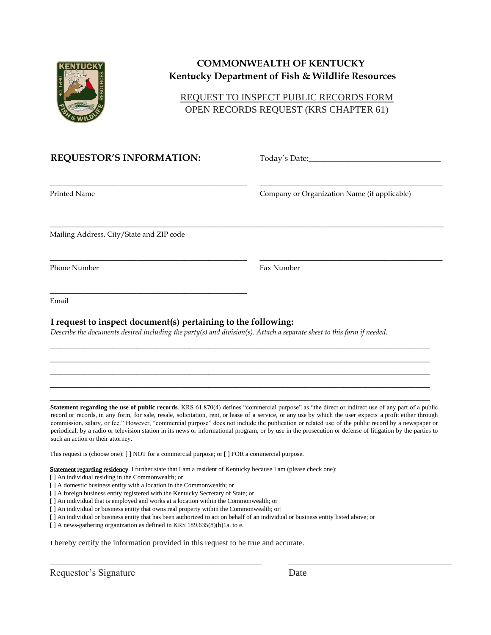

## **COMMONWEALTH OF KENTUCKY Kentucky Department of Fish & Wildlife Resources**

## REQUEST TO INSPECT PUBLIC RECORDS FORM OPEN RECORDS REQUEST (KRS CHAPTER 61)

| Printed Name                             | Company or Organization Name (if applicable) |
|------------------------------------------|----------------------------------------------|
| Mailing Address, City/State and ZIP code |                                              |
| <b>Phone Number</b>                      | Fax Number                                   |

**REQUESTOR'S INFORMATION:** Today's Date:

Email

## **I request to inspect document(s) pertaining to the following:**

 $\frac{1}{2}$  , and the set of the set of the set of the set of the set of the set of the set of the set of the set of the set of the set of the set of the set of the set of the set of the set of the set of the set of the set

*Describe the documents desired including the party(s) and division(s). Attach a separate sheet to this form if needed.* 

**Statement regarding the use of public records**. KRS 61.870(4) defines "commercial purpose" as "the direct or indirect use of any part of a public record or records, in any form, for sale, resale, solicitation, rent, or lease of a service, or any use by which the user expects a profit either through commission, salary, or fee." However, "commercial purpose" does not include the publication or related use of the public record by a newspaper or periodical, by a radio or television station in its news or informational program, or by use in the prosecution or defense of litigation by the parties to such an action or their attorney.

\_\_\_\_\_\_\_\_\_\_\_\_\_\_\_\_\_\_\_\_\_\_\_\_\_\_\_\_\_\_\_\_\_\_\_\_\_\_\_\_\_\_\_\_ \_\_\_\_\_\_\_\_\_\_\_\_\_\_\_\_\_\_\_\_\_\_\_\_\_\_\_\_\_\_\_\_\_\_

\_\_\_\_\_\_\_\_\_\_\_\_\_\_\_\_\_\_\_\_\_\_\_\_\_\_\_\_\_\_\_\_\_\_\_\_\_\_\_\_\_\_\_\_\_\_\_\_\_\_\_\_\_\_\_\_\_\_\_\_\_\_\_\_\_\_\_\_\_\_\_\_\_\_\_\_\_\_\_ \_\_\_\_\_\_\_\_\_\_\_\_\_\_\_\_\_\_\_\_\_\_\_\_\_\_\_\_\_\_\_\_\_\_\_\_\_\_\_\_\_\_\_\_\_\_\_\_\_\_\_\_\_\_\_\_\_\_\_\_\_\_\_\_\_\_\_\_\_\_\_\_\_\_\_\_\_\_\_ \_\_\_\_\_\_\_\_\_\_\_\_\_\_\_\_\_\_\_\_\_\_\_\_\_\_\_\_\_\_\_\_\_\_\_\_\_\_\_\_\_\_\_\_\_\_\_\_\_\_\_\_\_\_\_\_\_\_\_\_\_\_\_\_\_\_\_\_\_\_\_\_\_\_\_\_\_\_\_ \_\_\_\_\_\_\_\_\_\_\_\_\_\_\_\_\_\_\_\_\_\_\_\_\_\_\_\_\_\_\_\_\_\_\_\_\_\_\_\_\_\_\_\_\_\_\_\_\_\_\_\_\_\_\_\_\_\_\_\_\_\_\_\_\_\_\_\_\_\_\_\_\_\_\_\_\_\_\_ \_\_\_\_\_\_\_\_\_\_\_\_\_\_\_\_\_\_\_\_\_\_\_\_\_\_\_\_\_\_\_\_\_\_\_\_\_\_\_\_\_\_\_\_\_\_\_\_\_\_\_\_\_\_\_\_\_\_\_\_\_\_\_\_\_\_\_\_\_\_\_\_\_\_\_\_\_\_\_

This request is (choose one): [ ] NOT for a commercial purpose; or [ ] FOR a commercial purpose.

Statement regarding residency. I further state that I am a resident of Kentucky because I am (please check one):

[] An individual residing in the Commonwealth; or

[ ] A domestic business entity with a location in the Commonwealth; or

[ ] A foreign business entity registered with the Kentucky Secretary of State; or

[ ] An individual that is employed and works at a location within the Commonwealth; or

[ ] An individual or business entity that owns real property within the Commonwealth; or|

[ ] An individual or business entity that has been authorized to act on behalf of an individual or business entity listed above; or

[ ] A news-gathering organization as defined in KRS 189.635(8)(b)1a. to e.

I hereby certify the information provided in this request to be true and accurate.

Requestor's Signature Date